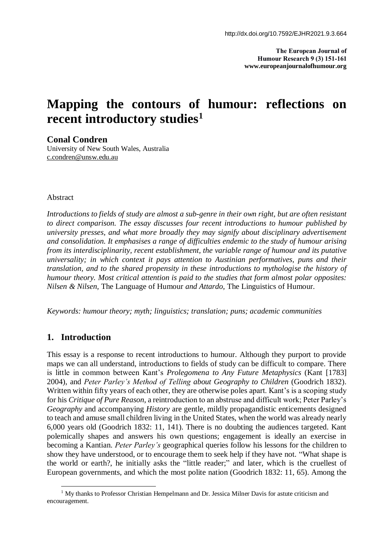**The European Journal of Humour Research 9 (3) 151-161 www.europeanjournalofhumour.org**

# **Mapping the contours of humour: reflections on recent introductory studies<sup>1</sup>**

**Conal Condren**

University of New South Wales, Australia c.condren@unsw.edu.au

#### Abstract

*Introductions to fields of study are almost a sub-genre in their own right, but are often resistant to direct comparison. The essay discusses four recent introductions to humour published by university presses, and what more broadly they may signify about disciplinary advertisement and consolidation. It emphasises a range of difficulties endemic to the study of humour arising from its interdisciplinarity, recent establishment, the variable range of humour and its putative universality; in which context it pays attention to Austinian performatives, puns and their translation, and to the shared propensity in these introductions to mythologise the history of humour theory. Most critical attention is paid to the studies that form almost polar opposites: Nilsen & Nilsen,* The Language of Humour *and Attardo,* The Linguistics of Humour*.*

*Keywords: humour theory; myth; linguistics; translation; puns; academic communities*

## **1. Introduction**

 $\overline{\phantom{a}}$ 

This essay is a response to recent introductions to humour. Although they purport to provide maps we can all understand, introductions to fields of study can be difficult to compare. There is little in common between Kant's *Prolegomena to Any Future Metaphysics* (Kant [1783] 2004), and *Peter Parley's Method of Telling about Geography to Children* (Goodrich 1832). Written within fifty years of each other, they are otherwise poles apart. Kant's is a scoping study for his *Critique of Pure Reason*, a reintroduction to an abstruse and difficult work; Peter Parley's *Geography* and accompanying *History* are gentle, mildly propagandistic enticements designed to teach and amuse small children living in the United States, when the world was already nearly 6,000 years old (Goodrich 1832: 11, 141). There is no doubting the audiences targeted. Kant polemically shapes and answers his own questions; engagement is ideally an exercise in becoming a Kantian. *Peter Parley's* geographical queries follow his lessons for the children to show they have understood, or to encourage them to seek help if they have not. "What shape is the world or earth?, he initially asks the "little reader;" and later, which is the cruellest of European governments, and which the most polite nation (Goodrich 1832: 11, 65). Among the

<sup>&</sup>lt;sup>1</sup> My thanks to Professor Christian Hempelmann and Dr. Jessica Milner Davis for astute criticism and encouragement.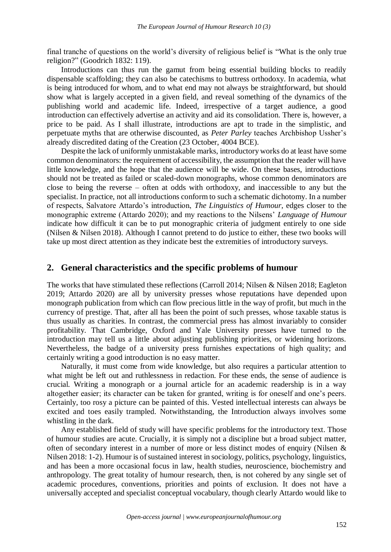final tranche of questions on the world's diversity of religious belief is "What is the only true religion?" (Goodrich 1832: 119).

Introductions can thus run the gamut from being essential building blocks to readily dispensable scaffolding; they can also be catechisms to buttress orthodoxy. In academia, what is being introduced for whom, and to what end may not always be straightforward, but should show what is largely accepted in a given field, and reveal something of the dynamics of the publishing world and academic life. Indeed, irrespective of a target audience, a good introduction can effectively advertise an activity and aid its consolidation. There is, however, a price to be paid. As I shall illustrate, introductions are apt to trade in the simplistic, and perpetuate myths that are otherwise discounted, as *Peter Parley* teaches Archbishop Ussher's already discredited dating of the Creation (23 October, 4004 BCE).

Despite the lack of uniformly unmistakable marks, introductory works do at least have some common denominators: the requirement of accessibility, the assumption that the reader will have little knowledge, and the hope that the audience will be wide. On these bases, introductions should not be treated as failed or scaled-down monographs, whose common denominators are close to being the reverse – often at odds with orthodoxy, and inaccessible to any but the specialist. In practice, not all introductions conform to such a schematic dichotomy. In a number of respects, Salvatore Attardo's introduction, *The Linguistics of Humour*, edges closer to the monographic extreme (Attardo 2020); and my reactions to the Nilsens' *Language of Humour* indicate how difficult it can be to put monographic criteria of judgment entirely to one side (Nilsen & Nilsen 2018). Although I cannot pretend to do justice to either, these two books will take up most direct attention as they indicate best the extremities of introductory surveys.

## **2. General characteristics and the specific problems of humour**

The works that have stimulated these reflections (Carroll 2014; Nilsen & Nilsen 2018; Eagleton 2019; Attardo 2020) are all by university presses whose reputations have depended upon monograph publication from which can flow precious little in the way of profit, but much in the currency of prestige. That, after all has been the point of such presses, whose taxable status is thus usually as charities. In contrast, the commercial press has almost invariably to consider profitability. That Cambridge, Oxford and Yale University presses have turned to the introduction may tell us a little about adjusting publishing priorities, or widening horizons. Nevertheless, the badge of a university press furnishes expectations of high quality; and certainly writing a good introduction is no easy matter.

Naturally, it must come from wide knowledge, but also requires a particular attention to what might be left out and ruthlessness in redaction. For these ends, the sense of audience is crucial. Writing a monograph or a journal article for an academic readership is in a way altogether easier; its character can be taken for granted, writing is for oneself and one's peers. Certainly, too rosy a picture can be painted of this. Vested intellectual interests can always be excited and toes easily trampled. Notwithstanding, the Introduction always involves some whistling in the dark.

Any established field of study will have specific problems for the introductory text. Those of humour studies are acute. Crucially, it is simply not a discipline but a broad subject matter, often of secondary interest in a number of more or less distinct modes of enquiry (Nilsen & Nilsen 2018: 1-2). Humour is of sustained interest in sociology, politics, psychology, linguistics, and has been a more occasional focus in law, health studies, neuroscience, biochemistry and anthropology. The great totality of humour research, then, is not cohered by any single set of academic procedures, conventions, priorities and points of exclusion. It does not have a universally accepted and specialist conceptual vocabulary, though clearly Attardo would like to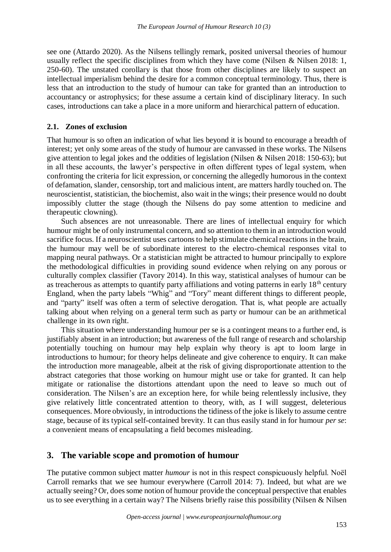see one (Attardo 2020). As the Nilsens tellingly remark, posited universal theories of humour usually reflect the specific disciplines from which they have come (Nilsen & Nilsen 2018: 1, 250-60). The unstated corollary is that those from other disciplines are likely to suspect an intellectual imperialism behind the desire for a common conceptual terminology. Thus, there is less that an introduction to the study of humour can take for granted than an introduction to accountancy or astrophysics; for these assume a certain kind of disciplinary literacy. In such cases, introductions can take a place in a more uniform and hierarchical pattern of education.

#### **2.1. Zones of exclusion**

That humour is so often an indication of what lies beyond it is bound to encourage a breadth of interest; yet only some areas of the study of humour are canvassed in these works. The Nilsens give attention to legal jokes and the oddities of legislation (Nilsen & Nilsen 2018: 150-63); but in all these accounts, the lawyer's perspective in often different types of legal system, when confronting the criteria for licit expression, or concerning the allegedly humorous in the context of defamation, slander, censorship, tort and malicious intent, are matters hardly touched on. The neuroscientist, statistician, the biochemist, also wait in the wings; their presence would no doubt impossibly clutter the stage (though the Nilsens do pay some attention to medicine and therapeutic clowning).

Such absences are not unreasonable. There are lines of intellectual enquiry for which humour might be of only instrumental concern, and so attention to them in an introduction would sacrifice focus. If a neuroscientist uses cartoons to help stimulate chemical reactions in the brain, the humour may well be of subordinate interest to the electro-chemical responses vital to mapping neural pathways. Or a statistician might be attracted to humour principally to explore the methodological difficulties in providing sound evidence when relying on any porous or culturally complex classifier (Tavory 2014). In this way, statistical analyses of humour can be as treacherous as attempts to quantify party affiliations and voting patterns in early  $18<sup>th</sup>$  century England, when the party labels "Whig" and "Tory" meant different things to different people, and "party" itself was often a term of selective derogation. That is, what people are actually talking about when relying on a general term such as party or humour can be an arithmetical challenge in its own right.

This situation where understanding humour per se is a contingent means to a further end, is justifiably absent in an introduction; but awareness of the full range of research and scholarship potentially touching on humour may help explain why theory is apt to loom large in introductions to humour; for theory helps delineate and give coherence to enquiry. It can make the introduction more manageable, albeit at the risk of giving disproportionate attention to the abstract categories that those working on humour might use or take for granted. It can help mitigate or rationalise the distortions attendant upon the need to leave so much out of consideration. The Nilsen's are an exception here, for while being relentlessly inclusive, they give relatively little concentrated attention to theory, with, as I will suggest, deleterious consequences. More obviously, in introductions the tidiness of the joke is likely to assume centre stage, because of its typical self-contained brevity. It can thus easily stand in for humour *per se*: a convenient means of encapsulating a field becomes misleading.

#### **3. The variable scope and promotion of humour**

The putative common subject matter *humour* is not in this respect conspicuously helpful. Noël Carroll remarks that we see humour everywhere (Carroll 2014: 7). Indeed, but what are we actually seeing? Or, does some notion of humour provide the conceptual perspective that enables us to see everything in a certain way? The Nilsens briefly raise this possibility (Nilsen & Nilsen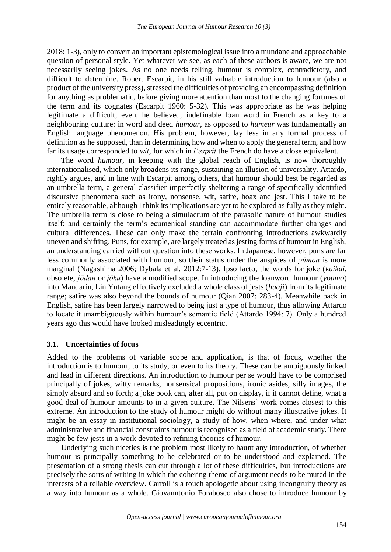2018: 1-3), only to convert an important epistemological issue into a mundane and approachable question of personal style. Yet whatever we see, as each of these authors is aware, we are not necessarily seeing jokes. As no one needs telling, humour is complex, contradictory, and difficult to determine. Robert Escarpit, in his still valuable introduction to humour (also a product of the university press), stressed the difficulties of providing an encompassing definition for anything as problematic, before giving more attention than most to the changing fortunes of the term and its cognates (Escarpit 1960: 5-32). This was appropriate as he was helping legitimate a difficult, even, he believed, indefinable loan word in French as a key to a neighbouring culture: in word and deed *humour*, as opposed to *humeur* was fundamentally an English language phenomenon. His problem, however, lay less in any formal process of definition as he supposed, than in determining how and when to apply the general term, and how far its usage corresponded to *wit*, for which in *l'esprit* the French do have a close equivalent.

The word *humour*, in keeping with the global reach of English, is now thoroughly internationalised, which only broadens its range, sustaining an illusion of universality. Attardo, rightly argues, and in line with Escarpit among others, that humour should best be regarded as an umbrella term, a general classifier imperfectly sheltering a range of specifically identified discursive phenomena such as irony, nonsense, wit, satire, hoax and jest. This I take to be entirely reasonable, although I think its implications are yet to be explored as fully as they might. The umbrella term is close to being a simulacrum of the parasolic nature of humour studies itself; and certainly the term's ecumenical standing can accommodate further changes and cultural differences. These can only make the terrain confronting introductions awkwardly uneven and shifting. Puns, for example, are largely treated as jesting forms of humour in English, an understanding carried without question into these works. In Japanese, however, puns are far less commonly associated with humour, so their status under the auspices of *yūmoa* is more marginal (Nagashima 2006; Dybala et al. 2012:7-13). Ipso facto, the words for joke (*kaikai*, obsolete, *jōdan* or *jōku*) have a modified scope. In introducing the loanword humour (*youmo*) into Mandarin, Lin Yutang effectively excluded a whole class of jests (*huaji*) from its legitimate range; satire was also beyond the bounds of humour (Qian 2007: 283-4). Meanwhile back in English, satire has been largely narrowed to being just a type of humour, thus allowing Attardo to locate it unambiguously within humour's semantic field (Attardo 1994: 7). Only a hundred years ago this would have looked misleadingly eccentric.

#### **3.1. Uncertainties of focus**

Added to the problems of variable scope and application, is that of focus, whether the introduction is to humour, to its study, or even to its theory. These can be ambiguously linked and lead in different directions. An introduction to humour per se would have to be comprised principally of jokes, witty remarks, nonsensical propositions, ironic asides, silly images, the simply absurd and so forth; a joke book can, after all, put on display, if it cannot define, what a good deal of humour amounts to in a given culture. The Nilsens' work comes closest to this extreme. An introduction to the study of humour might do without many illustrative jokes. It might be an essay in institutional sociology, a study of how, when where, and under what administrative and financial constraints humour is recognised as a field of academic study. There might be few jests in a work devoted to refining theories of humour.

Underlying such niceties is the problem most likely to haunt any introduction, of whether humour is principally something to be celebrated or to be understood and explained. The presentation of a strong thesis can cut through a lot of these difficulties, but introductions are precisely the sorts of writing in which the cohering theme of argument needs to be muted in the interests of a reliable overview. Carroll is a touch apologetic about using incongruity theory as a way into humour as a whole. Giovanntonio Forabosco also chose to introduce humour by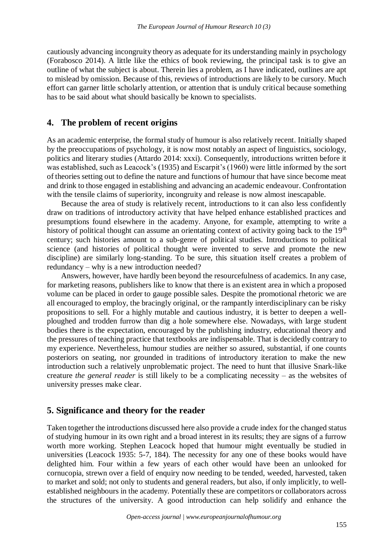cautiously advancing incongruity theory as adequate for its understanding mainly in psychology (Forabosco 2014). A little like the ethics of book reviewing, the principal task is to give an outline of what the subject is about. Therein lies a problem, as I have indicated, outlines are apt to mislead by omission. Because of this, reviews of introductions are likely to be cursory. Much effort can garner little scholarly attention, or attention that is unduly critical because something has to be said about what should basically be known to specialists.

## **4. The problem of recent origins**

As an academic enterprise, the formal study of humour is also relatively recent. Initially shaped by the preoccupations of psychology, it is now most notably an aspect of linguistics, sociology, politics and literary studies (Attardo 2014: xxxi). Consequently, introductions written before it was established, such as Leacock's (1935) and Escarpit's (1960) were little informed by the sort of theories setting out to define the nature and functions of humour that have since become meat and drink to those engaged in establishing and advancing an academic endeavour. Confrontation with the tensile claims of superiority, incongruity and release is now almost inescapable.

Because the area of study is relatively recent, introductions to it can also less confidently draw on traditions of introductory activity that have helped enhance established practices and presumptions found elsewhere in the academy. Anyone, for example, attempting to write a history of political thought can assume an orientating context of activity going back to the  $19<sup>th</sup>$ century; such histories amount to a sub-genre of political studies. Introductions to political science (and histories of political thought were invented to serve and promote the new discipline) are similarly long-standing. To be sure, this situation itself creates a problem of redundancy – why is a new introduction needed?

Answers, however, have hardly been beyond the resourcefulness of academics. In any case, for marketing reasons, publishers like to know that there is an existent area in which a proposed volume can be placed in order to gauge possible sales. Despite the promotional rhetoric we are all encouraged to employ, the bracingly original, or the rampantly interdisciplinary can be risky propositions to sell. For a highly mutable and cautious industry, it is better to deepen a wellploughed and trodden furrow than dig a hole somewhere else. Nowadays, with large student bodies there is the expectation, encouraged by the publishing industry, educational theory and the pressures of teaching practice that textbooks are indispensable. That is decidedly contrary to my experience. Nevertheless, humour studies are neither so assured, substantial, if one counts posteriors on seating, nor grounded in traditions of introductory iteration to make the new introduction such a relatively unproblematic project. The need to hunt that illusive Snark-like creature *the general reader* is still likely to be a complicating necessity – as the websites of university presses make clear.

## **5. Significance and theory for the reader**

Taken together the introductions discussed here also provide a crude index for the changed status of studying humour in its own right and a broad interest in its results; they are signs of a furrow worth more working. Stephen Leacock hoped that humour might eventually be studied in universities (Leacock 1935: 5-7, 184). The necessity for any one of these books would have delighted him. Four within a few years of each other would have been an unlooked for cornucopia, strewn over a field of enquiry now needing to be tended, weeded, harvested, taken to market and sold; not only to students and general readers, but also, if only implicitly, to wellestablished neighbours in the academy. Potentially these are competitors or collaborators across the structures of the university. A good introduction can help solidify and enhance the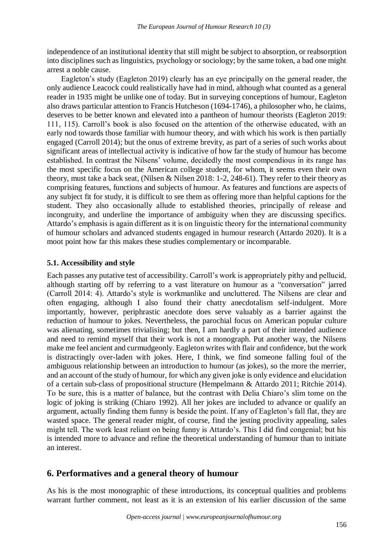independence of an institutional identity that still might be subject to absorption, or reabsorption into disciplines such as linguistics, psychology or sociology; by the same token, a bad one might arrest a noble cause.

Eagleton's study (Eagleton 2019) clearly has an eye principally on the general reader, the only audience Leacock could realistically have had in mind, although what counted as a general reader in 1935 might be unlike one of today. But in surveying conceptions of humour, Eagleton also draws particular attention to Francis Hutcheson (1694-1746), a philosopher who, he claims, deserves to be better known and elevated into a pantheon of humour theorists (Eagleton 2019: 111, 115). Carroll's book is also focused on the attention of the otherwise educated, with an early nod towards those familiar with humour theory, and with which his work is then partially engaged (Carroll 2014); but the onus of extreme brevity, as part of a series of such works about significant areas of intellectual activity is indicative of how far the study of humour has become established. In contrast the Nilsens' volume, decidedly the most compendious in its range has the most specific focus on the American college student, for whom, it seems even their own theory, must take a back seat, (Nilsen & Nilsen 2018: 1-2, 248-61). They refer to their theory as comprising features, functions and subjects of humour. As features and functions are aspects of any subject fit for study, it is difficult to see them as offering more than helpful captions for the student. They also occasionally allude to established theories, principally of release and incongruity, and underline the importance of ambiguity when they are discussing specifics. Attardo's emphasis is again different as it is on linguistic theory for the international community of humour scholars and advanced students engaged in humour research (Attardo 2020). It is a moot point how far this makes these studies complementary or incomparable.

#### **5.1. Accessibility and style**

Each passes any putative test of accessibility. Carroll's work is appropriately pithy and pellucid, although starting off by referring to a vast literature on humour as a "conversation" jarred (Carroll 2014: 4). Attardo's style is workmanlike and uncluttered. The Nilsens are clear and often engaging, although I also found their chatty anecdotalism self-indulgent. More importantly, however, periphrastic anecdote does serve valuably as a barrier against the reduction of humour to jokes. Nevertheless, the parochial focus on American popular culture was alienating, sometimes trivialising; but then, I am hardly a part of their intended audience and need to remind myself that their work is not a monograph. Put another way, the Nilsens make me feel ancient and curmudgeonly. Eagleton writes with flair and confidence, but the work is distractingly over-laden with jokes. Here, I think, we find someone falling foul of the ambiguous relationship between an introduction to humour (as jokes), so the more the merrier, and an account of the study of humour, for which any given joke is only evidence and elucidation of a certain sub-class of propositional structure (Hempelmann & Attardo 2011; Ritchie 2014). To be sure, this is a matter of balance, but the contrast with Delia Chiaro's slim tome on the logic of joking is striking (Chiaro 1992). All her jokes are included to advance or qualify an argument, actually finding them funny is beside the point. If any of Eagleton's fall flat, they are wasted space. The general reader might, of course, find the jesting proclivity appealing, sales might tell. The work least reliant on being funny is Attardo's. This I did find congenial; but his is intended more to advance and refine the theoretical understanding of humour than to initiate an interest.

## **6. Performatives and a general theory of humour**

As his is the most monographic of these introductions, its conceptual qualities and problems warrant further comment, not least as it is an extension of his earlier discussion of the same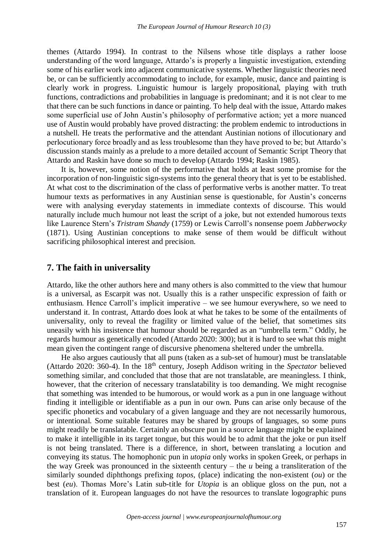themes (Attardo 1994). In contrast to the Nilsens whose title displays a rather loose understanding of the word language, Attardo's is properly a linguistic investigation, extending some of his earlier work into adjacent communicative systems. Whether linguistic theories need be, or can be sufficiently accommodating to include, for example, music, dance and painting is clearly work in progress. Linguistic humour is largely propositional, playing with truth functions, contradictions and probabilities in language is predominant; and it is not clear to me that there can be such functions in dance or painting. To help deal with the issue, Attardo makes some superficial use of John Austin's philosophy of performative action; yet a more nuanced use of Austin would probably have proved distracting: the problem endemic to introductions in a nutshell. He treats the performative and the attendant Austinian notions of illocutionary and perlocutionary force broadly and as less troublesome than they have proved to be; but Attardo's discussion stands mainly as a prelude to a more detailed account of Semantic Script Theory that Attardo and Raskin have done so much to develop (Attardo 1994; Raskin 1985).

It is, however, some notion of the performative that holds at least some promise for the incorporation of non-linguistic sign-systems into the general theory that is yet to be established. At what cost to the discrimination of the class of performative verbs is another matter. To treat humour texts as performatives in any Austinian sense is questionable, for Austin's concerns were with analysing everyday statements in immediate contexts of discourse. This would naturally include much humour not least the script of a joke, but not extended humorous texts like Laurence Stern's *Tristram Shandy* (1759) or Lewis Carroll's nonsense poem *Jabberwocky* (1871). Using Austinian conceptions to make sense of them would be difficult without sacrificing philosophical interest and precision.

#### **7. The faith in universality**

Attardo, like the other authors here and many others is also committed to the view that humour is a universal, as Escarpit was not. Usually this is a rather unspecific expression of faith or enthusiasm. Hence Carroll's implicit imperative – we see humour everywhere, so we need to understand it. In contrast, Attardo does look at what he takes to be some of the entailments of universality, only to reveal the fragility or limited value of the belief, that sometimes sits uneasily with his insistence that humour should be regarded as an "umbrella term." Oddly, he regards humour as genetically encoded (Attardo 2020: 300); but it is hard to see what this might mean given the contingent range of discursive phenomena sheltered under the umbrella.

He also argues cautiously that all puns (taken as a sub-set of humour) must be translatable (Attardo 2020: 360-4). In the 18<sup>th</sup> century, Joseph Addison writing in the *Spectator* believed something similar, and concluded that those that are not translatable, are meaningless. I think, however, that the criterion of necessary translatability is too demanding. We might recognise that something was intended to be humorous, or would work as a pun in one language without finding it intelligible or identifiable as a pun in our own. Puns can arise only because of the specific phonetics and vocabulary of a given language and they are not necessarily humorous, or intentional. Some suitable features may be shared by groups of languages, so some puns might readily be translatable. Certainly an obscure pun in a source language might be explained to make it intelligible in its target tongue, but this would be to admit that the joke or pun itself is not being translated. There is a difference, in short, between translating a locution and conveying its status. The homophonic pun in *utopia* only works in spoken Greek, or perhaps in the way Greek was pronounced in the sixteenth century – the *u* being a transliteration of the similarly sounded diphthongs prefixing *topos*, (place) indicating the non-existent (*ou*) or the best (*eu*). Thomas More's Latin sub-title for *Utopia* is an oblique gloss on the pun, not a translation of it. European languages do not have the resources to translate logographic puns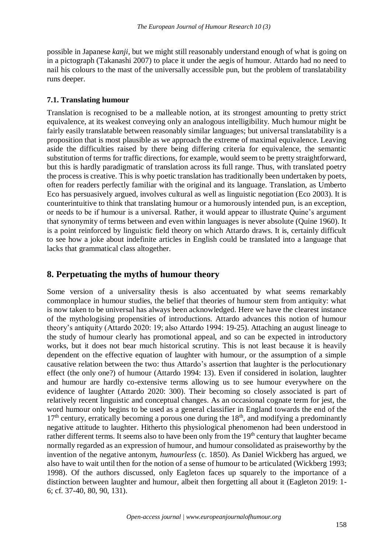possible in Japanese *kanji*, but we might still reasonably understand enough of what is going on in a pictograph (Takanashi 2007) to place it under the aegis of humour. Attardo had no need to nail his colours to the mast of the universally accessible pun, but the problem of translatability runs deeper.

## **7.1. Translating humour**

Translation is recognised to be a malleable notion, at its strongest amounting to pretty strict equivalence, at its weakest conveying only an analogous intelligibility. Much humour might be fairly easily translatable between reasonably similar languages; but universal translatability is a proposition that is most plausible as we approach the extreme of maximal equivalence. Leaving aside the difficulties raised by there being differing criteria for equivalence, the semantic substitution of terms for traffic directions, for example, would seem to be pretty straightforward, but this is hardly paradigmatic of translation across its full range. Thus, with translated poetry the process is creative. This is why poetic translation has traditionally been undertaken by poets, often for readers perfectly familiar with the original and its language. Translation, as Umberto Eco has persuasively argued, involves cultural as well as linguistic negotiation (Eco 2003). It is counterintuitive to think that translating humour or a humorously intended pun, is an exception, or needs to be if humour is a universal. Rather, it would appear to illustrate Quine's argument that synonymity of terms between and even within languages is never absolute (Quine 1960). It is a point reinforced by linguistic field theory on which Attardo draws. It is, certainly difficult to see how a joke about indefinite articles in English could be translated into a language that lacks that grammatical class altogether.

## **8. Perpetuating the myths of humour theory**

Some version of a universality thesis is also accentuated by what seems remarkably commonplace in humour studies, the belief that theories of humour stem from antiquity: what is now taken to be universal has always been acknowledged. Here we have the clearest instance of the mythologising propensities of introductions. Attardo advances this notion of humour theory's antiquity (Attardo 2020: 19; also Attardo 1994: 19-25). Attaching an august lineage to the study of humour clearly has promotional appeal, and so can be expected in introductory works, but it does not bear much historical scrutiny. This is not least because it is heavily dependent on the effective equation of laughter with humour, or the assumption of a simple causative relation between the two: thus Attardo's assertion that laughter is the perlocutionary effect (the only one?) of humour (Attardo 1994: 13). Even if considered in isolation, laughter and humour are hardly co-extensive terms allowing us to see humour everywhere on the evidence of laughter (Attardo 2020: 300). Their becoming so closely associated is part of relatively recent linguistic and conceptual changes. As an occasional cognate term for jest, the word humour only begins to be used as a general classifier in England towards the end of the  $17<sup>th</sup>$  century, erratically becoming a porous one during the  $18<sup>th</sup>$ , and modifying a predominantly negative attitude to laughter. Hitherto this physiological phenomenon had been understood in rather different terms. It seems also to have been only from the 19<sup>th</sup> century that laughter became normally regarded as an expression of humour, and humour consolidated as praiseworthy by the invention of the negative antonym, *humourless* (c. 1850). As Daniel Wickberg has argued, we also have to wait until then for the notion of a sense of humour to be articulated (Wickberg 1993; 1998). Of the authors discussed, only Eagleton faces up squarely to the importance of a distinction between laughter and humour, albeit then forgetting all about it (Eagleton 2019: 1- 6; cf. 37-40, 80, 90, 131).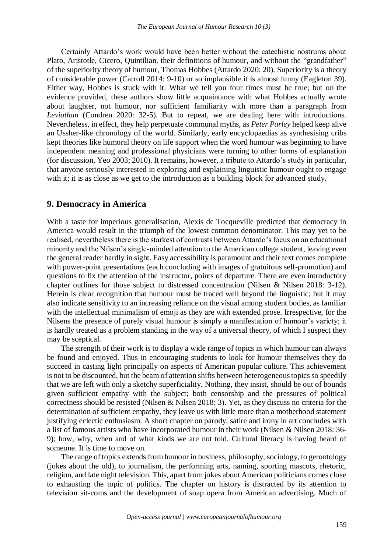Certainly Attardo's work would have been better without the catechistic nostrums about Plato, Aristotle, Cicero, Quintilian, their definitions of humour, and without the "grandfather" of the superiority theory of humour, Thomas Hobbes (Attardo 2020: 20). Superiority is a theory of considerable power (Carroll 2014: 9-10) or so implausible it is almost funny (Eagleton 39). Either way, Hobbes is stuck with it. What we tell you four times must be true; but on the evidence provided, these authors show little acquaintance with what Hobbes actually wrote about laughter, not humour, nor sufficient familiarity with more than a paragraph from *Leviathan* (Condren 2020: 32-5). But to repeat, we are dealing here with introductions. Nevertheless, in effect, they help perpetuate communal myths, as *Peter Parley* helped keep alive an Ussher-like chronology of the world. Similarly, early encyclopaedias as synthesising cribs kept theories like humoral theory on life support when the word humour was beginning to have independent meaning and professional physicians were turning to other forms of explanation (for discussion, Yeo 2003; 2010). It remains, however, a tribute to Attardo's study in particular, that anyone seriously interested in exploring and explaining linguistic humour ought to engage with it; it is as close as we get to the introduction as a building block for advanced study.

#### **9. Democracy in America**

With a taste for imperious generalisation, Alexis de Tocqueville predicted that democracy in America would result in the triumph of the lowest common denominator. This may yet to be realised, nevertheless there is the starkest of contrasts between Attardo's focus on an educational minority and the Nilsen's single-minded attention to the American college student, leaving even the general reader hardly in sight. Easy accessibility is paramount and their text comes complete with power-point presentations (each concluding with images of gratuitous self-promotion) and questions to fix the attention of the instructor, points of departure. There are even introductory chapter outlines for those subject to distressed concentration (Nilsen & Nilsen 2018: 3-12). Herein is clear recognition that humour must be traced well beyond the linguistic; but it may also indicate sensitivity to an increasing reliance on the visual among student bodies, as familiar with the intellectual minimalism of emoji as they are with extended prose. Irrespective, for the Nilsens the presence of purely visual humour is simply a manifestation of humour's variety; it is hardly treated as a problem standing in the way of a universal theory, of which I suspect they may be sceptical.

The strength of their work is to display a wide range of topics in which humour can always be found and enjoyed. Thus in encouraging students to look for humour themselves they do succeed in casting light principally on aspects of American popular culture. This achievement is not to be discounted, but the beam of attention shifts between heterogeneous topics so speedily that we are left with only a sketchy superficiality. Nothing, they insist, should be out of bounds given sufficient empathy with the subject; both censorship and the pressures of political correctness should be resisted (Nilsen & Nilsen 2018: 3). Yet, as they discuss no criteria for the determination of sufficient empathy, they leave us with little more than a motherhood statement justifying eclectic enthusiasm. A short chapter on parody, satire and irony in art concludes with a list of famous artists who have incorporated humour in their work (Nilsen & Nilsen 2018: 36- 9); how, why, when and of what kinds we are not told. Cultural literacy is having heard of someone. It is time to move on.

The range of topics extends from humour in business, philosophy, sociology, to gerontology (jokes about the old), to journalism, the performing arts, naming, sporting mascots, rhetoric, religion, and late night television. This, apart from jokes about American politicians comes close to exhausting the topic of politics. The chapter on history is distracted by its attention to television sit-coms and the development of soap opera from American advertising. Much of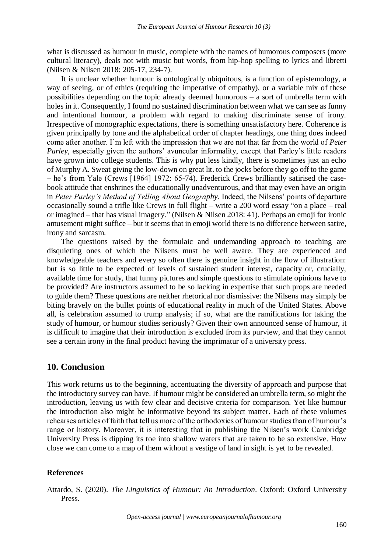what is discussed as humour in music, complete with the names of humorous composers (more cultural literacy), deals not with music but words, from hip-hop spelling to lyrics and libretti (Nilsen & Nilsen 2018: 205-17, 234-7).

It is unclear whether humour is ontologically ubiquitous, is a function of epistemology, a way of seeing, or of ethics (requiring the imperative of empathy), or a variable mix of these possibilities depending on the topic already deemed humorous – a sort of umbrella term with holes in it. Consequently, I found no sustained discrimination between what we can see as funny and intentional humour, a problem with regard to making discriminate sense of irony. Irrespective of monographic expectations, there is something unsatisfactory here. Coherence is given principally by tone and the alphabetical order of chapter headings, one thing does indeed come after another. I'm left with the impression that we are not that far from the world of *Peter Parley*, especially given the authors' avuncular informality, except that Parley's little readers have grown into college students. This is why put less kindly, there is sometimes just an echo of Murphy A. Sweat giving the low-down on great lit. to the jocks before they go off to the game – he's from Yale (Crews [1964] 1972: 65-74). Frederick Crews brilliantly satirised the casebook attitude that enshrines the educationally unadventurous, and that may even have an origin in *Peter Parley's Method of Telling About Geography*. Indeed, the Nilsens' points of departure occasionally sound a trifle like Crews in full flight – write a 200 word essay "on a place – real or imagined – that has visual imagery." (Nilsen & Nilsen 2018: 41). Perhaps an emoji for ironic amusement might suffice – but it seems that in emoji world there is no difference between satire, irony and sarcasm.

The questions raised by the formulaic and undemanding approach to teaching are disquieting ones of which the Nilsens must be well aware. They are experienced and knowledgeable teachers and every so often there is genuine insight in the flow of illustration: but is so little to be expected of levels of sustained student interest, capacity or, crucially, available time for study, that funny pictures and simple questions to stimulate opinions have to be provided? Are instructors assumed to be so lacking in expertise that such props are needed to guide them? These questions are neither rhetorical nor dismissive: the Nilsens may simply be biting bravely on the bullet points of educational reality in much of the United States. Above all, is celebration assumed to trump analysis; if so, what are the ramifications for taking the study of humour, or humour studies seriously? Given their own announced sense of humour, it is difficult to imagine that their introduction is excluded from its purview, and that they cannot see a certain irony in the final product having the imprimatur of a university press.

## **10. Conclusion**

This work returns us to the beginning, accentuating the diversity of approach and purpose that the introductory survey can have. If humour might be considered an umbrella term, so might the introduction, leaving us with few clear and decisive criteria for comparison. Yet like humour the introduction also might be informative beyond its subject matter. Each of these volumes rehearses articles of faith that tell us more of the orthodoxies of humour studies than of humour's range or history. Moreover, it is interesting that in publishing the Nilsen's work Cambridge University Press is dipping its toe into shallow waters that are taken to be so extensive. How close we can come to a map of them without a vestige of land in sight is yet to be revealed.

#### **References**

Attardo, S. (2020). *The Linguistics of Humour: An Introduction*. Oxford: Oxford University Press.